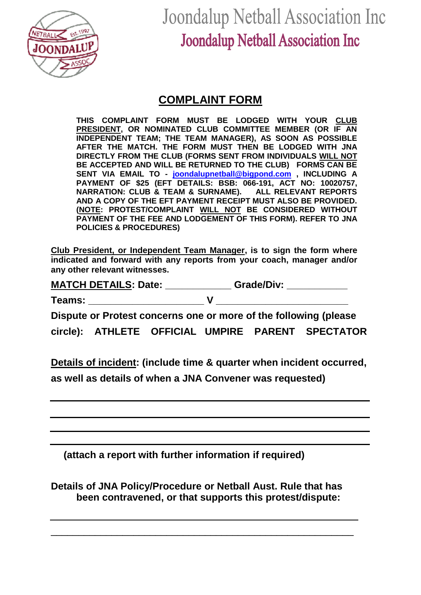

Joondalup Netball Association Inc **Joondalup Netball Association Inc** 

## **COMPLAINT FORM**

**THIS COMPLAINT FORM MUST BE LODGED WITH YOUR CLUB PRESIDENT, OR NOMINATED CLUB COMMITTEE MEMBER (OR IF AN INDEPENDENT TEAM; THE TEAM MANAGER), AS SOON AS POSSIBLE AFTER THE MATCH. THE FORM MUST THEN BE LODGED WITH JNA DIRECTLY FROM THE CLUB (FORMS SENT FROM INDIVIDUALS WILL NOT BE ACCEPTED AND WILL BE RETURNED TO THE CLUB) FORMS CAN BE SENT VIA EMAIL TO - [joondalupnetball@bigpond.com](mailto:joondalupnetball@bigpond.com) , INCLUDING A PAYMENT OF \$25 (EFT DETAILS: BSB: 066-191, ACT NO: 10020757, NARRATION: CLUB & TEAM & SURNAME). ALL RELEVANT REPORTS AND A COPY OF THE EFT PAYMENT RECEIPT MUST ALSO BE PROVIDED. (NOTE: PROTEST/COMPLAINT WILL NOT BE CONSIDERED WITHOUT PAYMENT OF THE FEE AND LODGEMENT OF THIS FORM). REFER TO JNA POLICIES & PROCEDURES)**

**Club President, or Independent Team Manager, is to sign the form where indicated and forward with any reports from your coach, manager and/or any other relevant witnesses.**

**MATCH DETAILS: Date: \_\_\_\_\_\_\_\_\_\_\_\_ Grade/Div: \_\_\_\_\_\_\_\_\_\_\_**

**Teams: \_\_\_\_\_\_\_\_\_\_\_\_\_\_\_\_\_\_\_\_\_ V \_\_\_\_\_\_\_\_\_\_\_\_\_\_\_\_\_\_\_\_\_\_\_\_**

**Dispute or Protest concerns one or more of the following (please circle): ATHLETE OFFICIAL UMPIRE PARENT SPECTATOR**

**Details of incident: (include time & quarter when incident occurred, as well as details of when a JNA Convener was requested)**

**(attach a report with further information if required)**

**Details of JNA Policy/Procedure or Netball Aust. Rule that has been contravened, or that supports this protest/dispute:**

\_\_\_\_\_\_\_\_\_\_\_\_\_\_\_\_\_\_\_\_\_\_\_\_\_\_\_\_\_\_\_\_\_\_\_\_\_\_\_\_\_\_\_\_\_\_\_\_\_\_\_\_\_\_\_